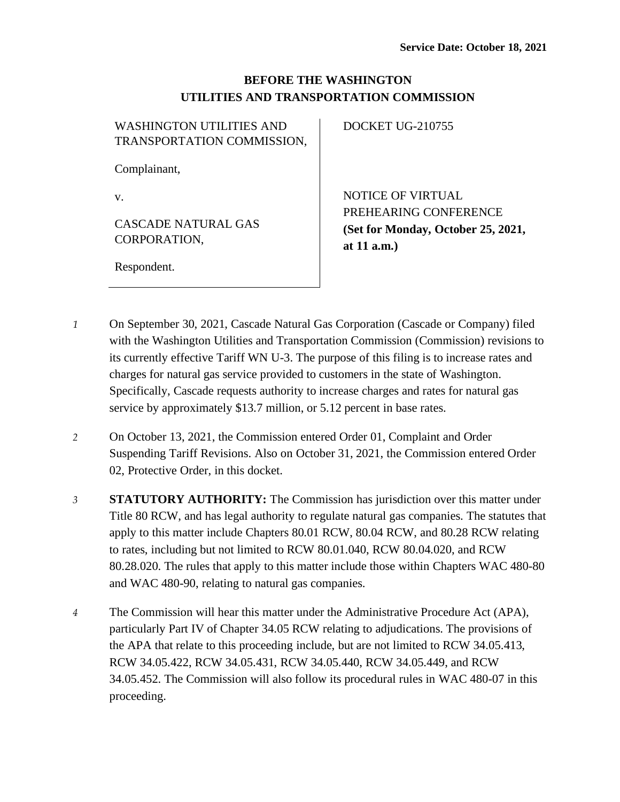## **BEFORE THE WASHINGTON UTILITIES AND TRANSPORTATION COMMISSION**

| <b>WASHINGTON UTILITIES AND</b><br>TRANSPORTATION COMMISSION, | DOCKET UG-210755                                                             |
|---------------------------------------------------------------|------------------------------------------------------------------------------|
| Complainant,                                                  |                                                                              |
| v.                                                            | <b>NOTICE OF VIRTUAL</b>                                                     |
| CASCADE NATURAL GAS<br>CORPORATION,                           | PREHEARING CONFERENCE<br>(Set for Monday, October 25, 2021,<br>at $11$ a.m.) |
| Respondent.                                                   |                                                                              |

- *1* On September 30, 2021, Cascade Natural Gas Corporation (Cascade or Company) filed with the Washington Utilities and Transportation Commission (Commission) revisions to its currently effective Tariff WN U-3. The purpose of this filing is to increase rates and charges for natural gas service provided to customers in the state of Washington. Specifically, Cascade requests authority to increase charges and rates for natural gas service by approximately \$13.7 million, or 5.12 percent in base rates.
- *2* On October 13, 2021, the Commission entered Order 01, Complaint and Order Suspending Tariff Revisions. Also on October 31, 2021, the Commission entered Order 02, Protective Order, in this docket.
- *3* **STATUTORY AUTHORITY:** The Commission has jurisdiction over this matter under Title 80 RCW, and has legal authority to regulate natural gas companies. The statutes that apply to this matter include Chapters 80.01 RCW, 80.04 RCW, and 80.28 RCW relating to rates, including but not limited to RCW 80.01.040, RCW 80.04.020, and RCW 80.28.020. The rules that apply to this matter include those within Chapters WAC 480-80 and WAC 480-90, relating to natural gas companies.
- *4* The Commission will hear this matter under the Administrative Procedure Act (APA), particularly Part IV of Chapter 34.05 RCW relating to adjudications. The provisions of the APA that relate to this proceeding include, but are not limited to RCW 34.05.413, RCW 34.05.422, RCW 34.05.431, RCW 34.05.440, RCW 34.05.449, and RCW 34.05.452. The Commission will also follow its procedural rules in WAC 480-07 in this proceeding.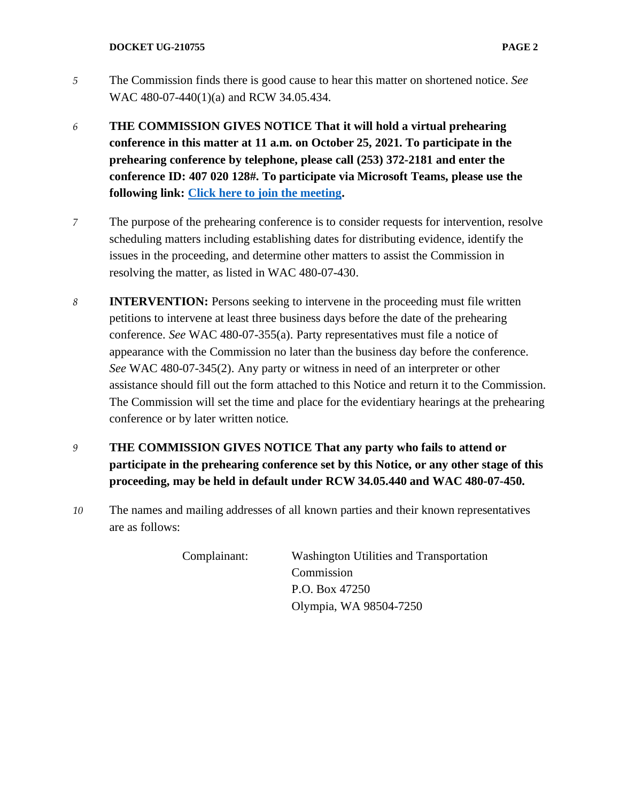- *5* The Commission finds there is good cause to hear this matter on shortened notice. *See*  WAC 480-07-440(1)(a) and RCW 34.05.434.
- *6* **THE COMMISSION GIVES NOTICE That it will hold a virtual prehearing conference in this matter at 11 a.m. on October 25, 2021. To participate in the prehearing conference by telephone, please call (253) 372-2181 and enter the conference ID: 407 020 128#. To participate via Microsoft Teams, please use the following link: [Click here to join the meeting.](https://teams.microsoft.com/l/meetup-join/19%3ameeting_YTg4YTAxYTYtMjEwNy00ZDUxLTlkZGYtNTVkYzQzMzVjY2M1%40thread.v2/0?context=%7b%22Tid%22%3a%2211d0e217-264e-400a-8ba0-57dcc127d72d%22%2c%22Oid%22%3a%22e087eca4-4cd8-416f-8fc0-53ed60dbc833%22%7d)**
- *7* The purpose of the prehearing conference is to consider requests for intervention, resolve scheduling matters including establishing dates for distributing evidence, identify the issues in the proceeding, and determine other matters to assist the Commission in resolving the matter, as listed in WAC 480-07-430.
- *8* **INTERVENTION:** Persons seeking to intervene in the proceeding must file written petitions to intervene at least three business days before the date of the prehearing conference. *See* WAC 480-07-355(a). Party representatives must file a notice of appearance with the Commission no later than the business day before the conference. *See* WAC 480-07-345(2). Any party or witness in need of an interpreter or other assistance should fill out the form attached to this Notice and return it to the Commission. The Commission will set the time and place for the evidentiary hearings at the prehearing conference or by later written notice.
- *9* **THE COMMISSION GIVES NOTICE That any party who fails to attend or participate in the prehearing conference set by this Notice, or any other stage of this proceeding, may be held in default under RCW 34.05.440 and WAC 480-07-450.**
- *10* The names and mailing addresses of all known parties and their known representatives are as follows:

| Complainant: | Washington Utilities and Transportation |
|--------------|-----------------------------------------|
|              | Commission                              |
|              | P.O. Box 47250                          |
|              | Olympia, WA 98504-7250                  |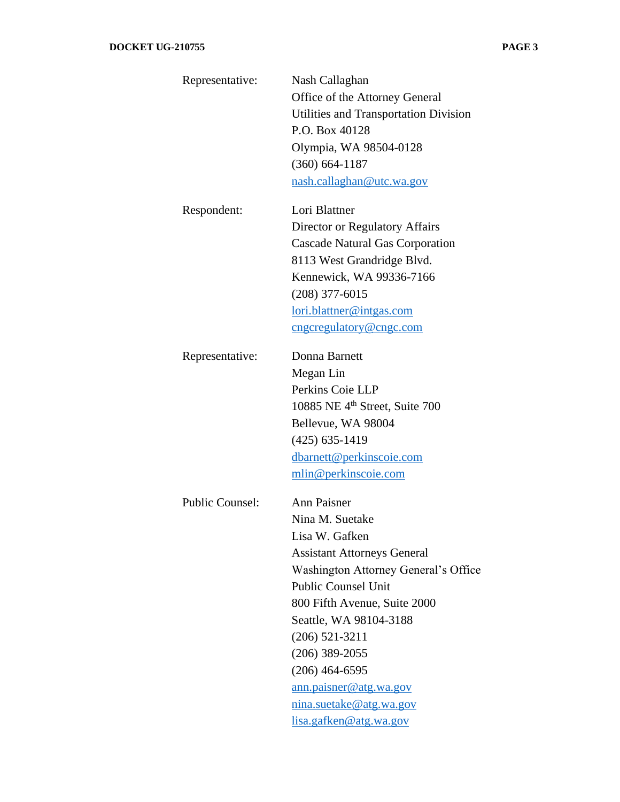| Representative:        | Nash Callaghan                               |
|------------------------|----------------------------------------------|
|                        | Office of the Attorney General               |
|                        | <b>Utilities and Transportation Division</b> |
|                        | P.O. Box 40128                               |
|                        | Olympia, WA 98504-0128                       |
|                        | $(360) 664 - 1187$                           |
|                        | nash.callaghan@utc.wa.gov                    |
|                        |                                              |
| Respondent:            | Lori Blattner                                |
|                        | Director or Regulatory Affairs               |
|                        | <b>Cascade Natural Gas Corporation</b>       |
|                        | 8113 West Grandridge Blvd.                   |
|                        | Kennewick, WA 99336-7166                     |
|                        | $(208)$ 377-6015                             |
|                        | lori.blattner@intgas.com                     |
|                        | cngcregulatory@cngc.com                      |
| Representative:        | Donna Barnett                                |
|                        | Megan Lin                                    |
|                        | Perkins Coie LLP                             |
|                        | 10885 NE 4 <sup>th</sup> Street, Suite 700   |
|                        | Bellevue, WA 98004                           |
|                        | $(425) 635 - 1419$                           |
|                        | dbarnett@perkinscoie.com                     |
|                        | mlin@perkinscoie.com                         |
| <b>Public Counsel:</b> | <b>Ann Paisner</b>                           |
|                        | Nina M. Suetake                              |
|                        | Lisa W. Gafken                               |
|                        | <b>Assistant Attorneys General</b>           |
|                        | Washington Attorney General's Office         |
|                        | <b>Public Counsel Unit</b>                   |
|                        | 800 Fifth Avenue, Suite 2000                 |
|                        | Seattle, WA 98104-3188                       |
|                        | $(206)$ 521-3211                             |
|                        | $(206)$ 389-2055                             |
|                        | $(206)$ 464-6595                             |
|                        | ann.paisner@atg.wa.gov                       |
|                        | nina.suetake@atg.wa.gov                      |
|                        | lisa.gafken@atg.wa.gov                       |
|                        |                                              |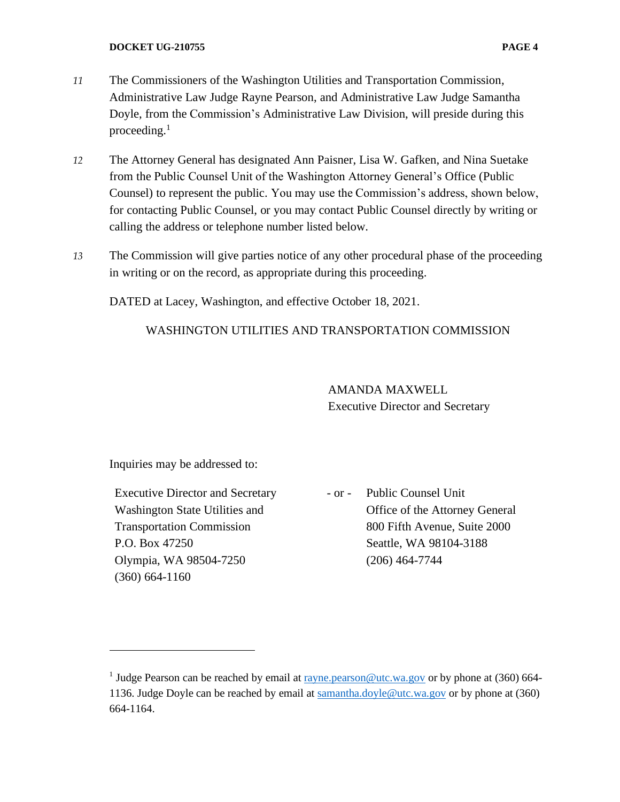- *11* The Commissioners of the Washington Utilities and Transportation Commission, Administrative Law Judge Rayne Pearson, and Administrative Law Judge Samantha Doyle, from the Commission's Administrative Law Division, will preside during this proceeding. $<sup>1</sup>$ </sup>
- *12* The Attorney General has designated Ann Paisner, Lisa W. Gafken, and Nina Suetake from the Public Counsel Unit of the Washington Attorney General's Office (Public Counsel) to represent the public. You may use the Commission's address, shown below, for contacting Public Counsel, or you may contact Public Counsel directly by writing or calling the address or telephone number listed below.
- *13* The Commission will give parties notice of any other procedural phase of the proceeding in writing or on the record, as appropriate during this proceeding.

DATED at Lacey, Washington, and effective October 18, 2021.

## WASHINGTON UTILITIES AND TRANSPORTATION COMMISSION

AMANDA MAXWELL Executive Director and Secretary

Inquiries may be addressed to:

Executive Director and Secretary Washington State Utilities and Transportation Commission P.O. Box 47250 Olympia, WA 98504-7250 (360) 664-1160

- or - Public Counsel Unit Office of the Attorney General 800 Fifth Avenue, Suite 2000 Seattle, WA 98104-3188 (206) 464-7744

<sup>&</sup>lt;sup>1</sup> Judge Pearson can be reached by email at  $r = r \cdot 1$  ray bearson  $\omega$ utc.wa.gov or by phone at (360) 664 1136. Judge Doyle can be reached by email at [samantha.doyle@utc.wa.gov](mailto:samantha.doyle@utc.wa.gov) or by phone at (360) 664-1164.